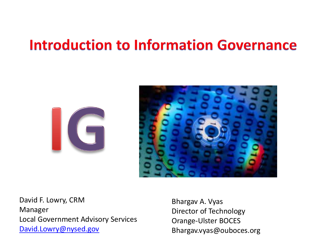### **Introduction to Information Governance**





David F. Lowry, CRM Manager Local Government Advisory Services [David.Lowry@nysed.gov](mailto:David.Lowry@nysed.gov)

Bhargav A. Vyas Director of Technology Orange-Ulster BOCES Bhargav.vyas@ouboces.org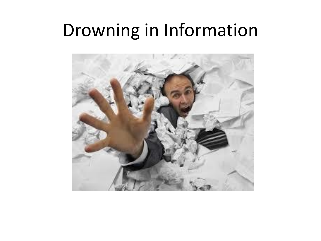## Drowning in Information

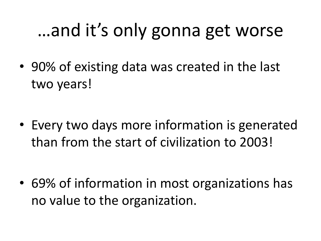## …and it's only gonna get worse

• 90% of existing data was created in the last two years!

• Every two days more information is generated than from the start of civilization to 2003!

• 69% of information in most organizations has no value to the organization.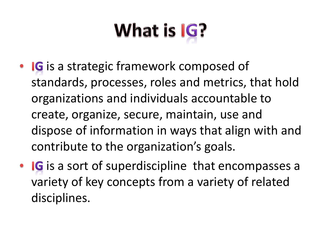# What is IG?

- IG is a strategic framework composed of standards, processes, roles and metrics, that hold organizations and individuals accountable to create, organize, secure, maintain, use and dispose of information in ways that align with and contribute to the organization's goals.
- IG is a sort of superdiscipline that encompasses a variety of key concepts from a variety of related disciplines.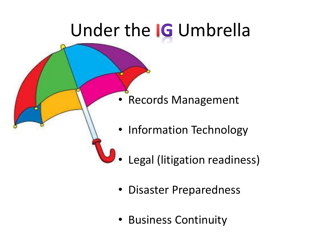## Under the **IG** Umbrella

- Records Management
- Information Technology
- Legal (litigation readiness)
- Disaster Preparedness
- Business Continuity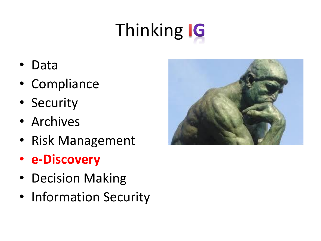## **Thinking IG**

- Data
- Compliance
- Security
- Archives
- Risk Management
- **e-Discovery**
- Decision Making
- Information Security

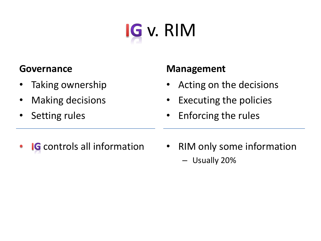

#### **Governance**

- Taking ownership
- Making decisions
- Setting rules

#### **Management**

- Acting on the decisions
- Executing the policies
- Enforcing the rules

- **IG** controls all information  $\bullet$
- RIM only some information – Usually 20%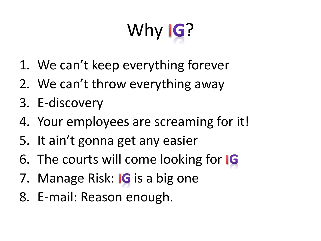# Why **IG**?

- 1. We can't keep everything forever
- 2. We can't throw everything away
- 3. E-discovery
- 4. Your employees are screaming for it!
- 5. It ain't gonna get any easier
- 6. The courts will come looking for IG
- 7. Manage Risk: IG is a big one
- 8. E-mail: Reason enough.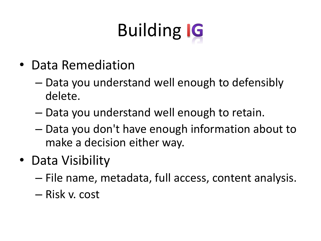# **Building IG**

- Data Remediation
	- Data you understand well enough to defensibly delete.
	- Data you understand well enough to retain.
	- Data you don't have enough information about to make a decision either way.
- Data Visibility
	- File name, metadata, full access, content analysis.
	- Risk v. cost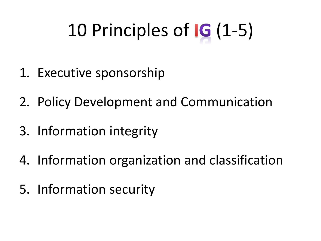## 10 Principles of **G** (1-5)

- 1. Executive sponsorship
- 2. Policy Development and Communication
- 3. Information integrity
- 4. Information organization and classification
- 5. Information security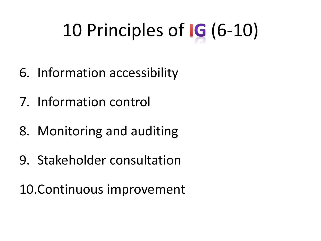## 10 Principles of IG (6-10)

- 6. Information accessibility
- 7. Information control
- 8. Monitoring and auditing
- 9. Stakeholder consultation

10.Continuous improvement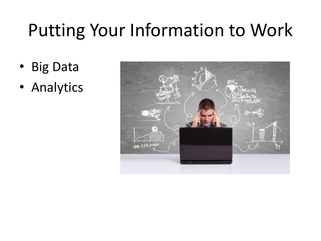## Putting Your Information to Work

- Big Data
- Analytics

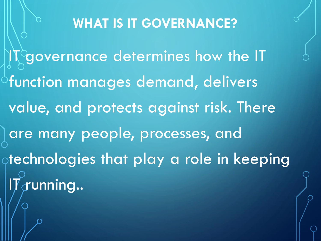#### **WHAT IS IT GOVERNANCE?**

IT governance determines how the IT  $\circ$ function manages demand, delivers value, and protects against risk. There are many people, processes, and technologies that play a role in keeping  $\Pi_{\cal C}$ unning..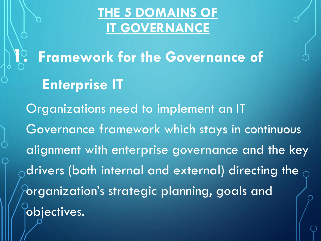#### **THE 5 DOMAINS OF IT GOVERNANCE**

**1. Framework for the Governance of Enterprise IT** Organizations need to implement an IT Governance framework which stays in continuous alignment with enterprise governance and the key drivers (both internal and external) directing the organization's strategic planning, goals and objectives.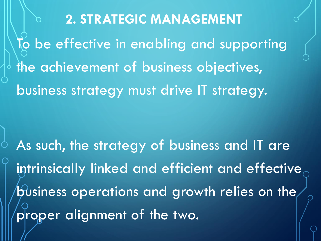**2. STRATEGIC MANAGEMENT** To be effective in enabling and supporting the achievement of business objectives, business strategy must drive IT strategy.

As such, the strategy of business and IT are intrinsically linked and efficient and effective business operations and growth relies on the proper alignment of the two.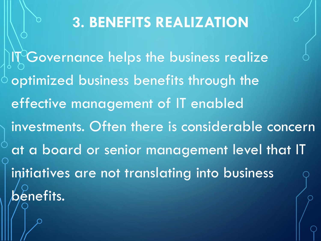### **3. BENEFITS REALIZATION**

IT Governance helps the business realize optimized business benefits through the effective management of IT enabled investments. Often there is considerable concern at a board or senior management level that IT initiatives are not translating into business benefits.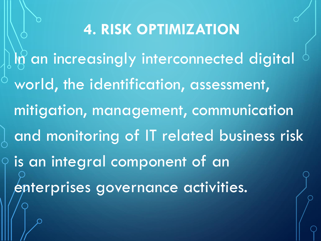**4. RISK OPTIMIZATION** In an increasingly interconnected digital world, the identification, assessment, mitigation, management, communication and monitoring of IT related business risk is an integral component of an enterprises governance activities.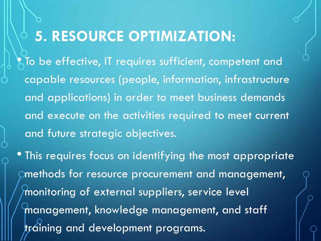### **5. RESOURCE OPTIMIZATION:**

 $\sum_{i=1}^{\infty}$  To be effective, IT requires sufficient, competent and capable resources (people, information, infrastructure and applications) in order to meet business demands and execute on the activities required to meet current and future strategic objectives.

• This requires focus on identifying the most appropriate methods for resource procurement and management, monitoring of external suppliers, service level management, knowledge management, and staff training and development programs.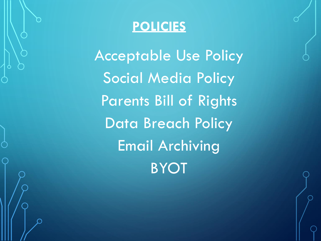

Acceptable Use Policy Social Media Policy Parents Bill of Rights Data Breach Policy Email Archiving BYOT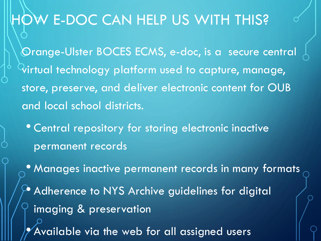### HOW E-DOC CAN HELP US WITH THIS?

Orange-Ulster BOCES ECMS, e-doc, is a secure central virtual technology platform used to capture, manage, store, preserve, and deliver electronic content for OUB and local school districts.

- Central repository for storing electronic inactive permanent records
- Manages inactive permanent records in many formats  $\rightarrow$  Adherence to NYS Archive guidelines for digital imaging & preservation Available via the web for all assigned users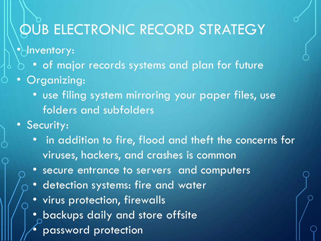### QUB ELECTRONIC RECORD STRATEGY

•*Noventory:* 

- of major records systems and plan for future
- Organizing:
	- use filing system mirroring your paper files, use folders and subfolders
- Security:
	- in addition to fire, flood and theft the concerns for viruses, hackers, and crashes is common
	- secure entrance to servers and computers
	- detection systems: fire and water
	- virus protection, firewalls
	- backups daily and store offsite
	- password protection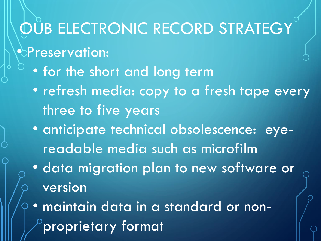### **OUB ELECTRONIC RECORD STRATEGY**

- $\bullet$ Preservation:
	- for the short and long term
	- refresh media: copy to a fresh tape every three to five years
	- anticipate technical obsolescence: eyereadable media such as microfilm
	- data migration plan to new software or version
	- maintain data in a standard or non- $^{\circ}$ proprietary format